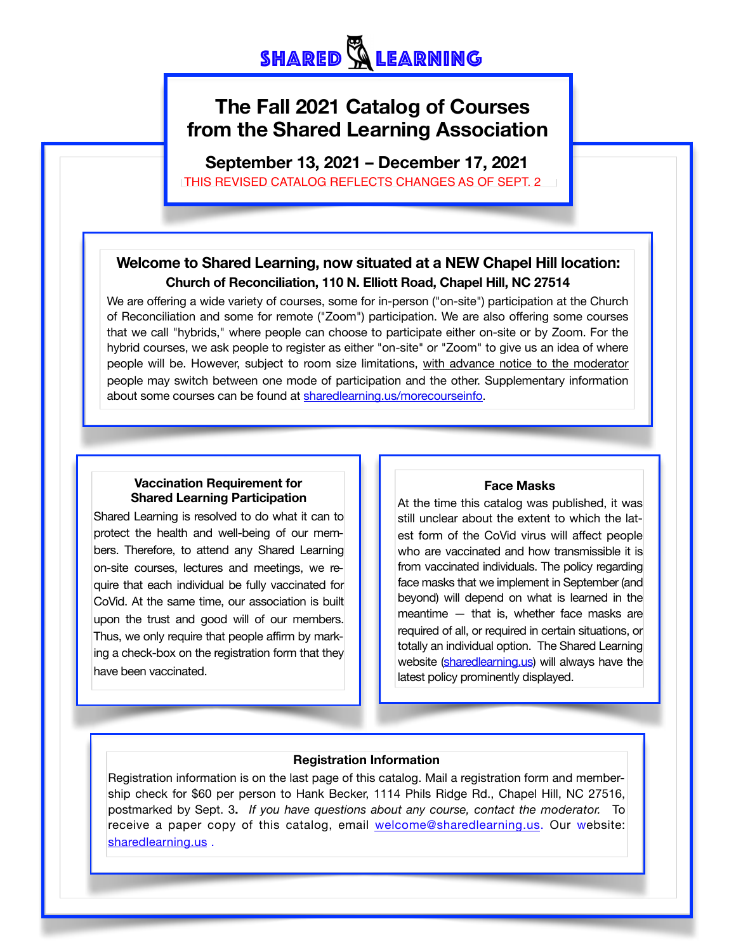# **The Fall 2021 Catalog of Courses from the Shared Learning Association**

**September 13, 2021 – December 17, 2021**

# THIS REVISED CATALOG REFLECTS CHANGES AS OF SEPT. 2

# **Welcome to Shared Learning, now situated at a NEW Chapel Hill location: Church of Reconciliation, 110 N. Elliott Road, Chapel Hill, NC 27514**

that we call "hybrids," where people can choose to participate either on-site or by Zoom. For the We are offering a wide variety of courses, some for in-person ("on-site") participation at the Church of Reconciliation and some for remote ("Zoom") participation. We are also offering some courses hybrid courses, we ask people to register as either "on-site" or "Zoom" to give us an idea of where people will be. However, subject to room size limitations, with advance notice to the moderator people may switch between one mode of participation and the other. Supplementary information about some courses can be found at [sharedlearning.us/morecourseinfo.](http://sharedlearning.us/morecourseinfo)

### **Vaccination Requirement for Shared Learning Participation**

Shared Learning is resolved to do what it can to protect the health and well-being of our members. Therefore, to attend any Shared Learning on-site courses, lectures and meetings, we require that each individual be fully vaccinated for CoVid. At the same time, our association is built upon the trust and good will of our members. Thus, we only require that people affirm by marking a check-box on the registration form that they have been vaccinated.

### **Face Masks**

At the time this catalog was published, it was still unclear about the extent to which the latest form of the CoVid virus will affect people who are vaccinated and how transmissible it is from vaccinated individuals. The policy regarding face masks that we implement in September (and beyond) will depend on what is learned in the meantime — that is, whether face masks are required of all, or required in certain situations, or totally an individual option. The Shared Learning website [\(sharedlearning.us](http://sharedlearning.us/)) will always have the latest policy prominently displayed.

## **Registration Information**

Registration information is on the last page of this catalog. Mail a registration form and membership check for \$60 per person to Hank Becker, 1114 Phils Ridge Rd., Chapel Hill, NC 27516, postmarked by Sept. 3**.** *If you have questions about any course, contact the moderator.* To receive a paper copy of this catalog, email [welcome@sharedlearning.us](mailto:welcome@sharedlearning.us). Our website: [sharedlearning.us](http://sharedlearning.us/) .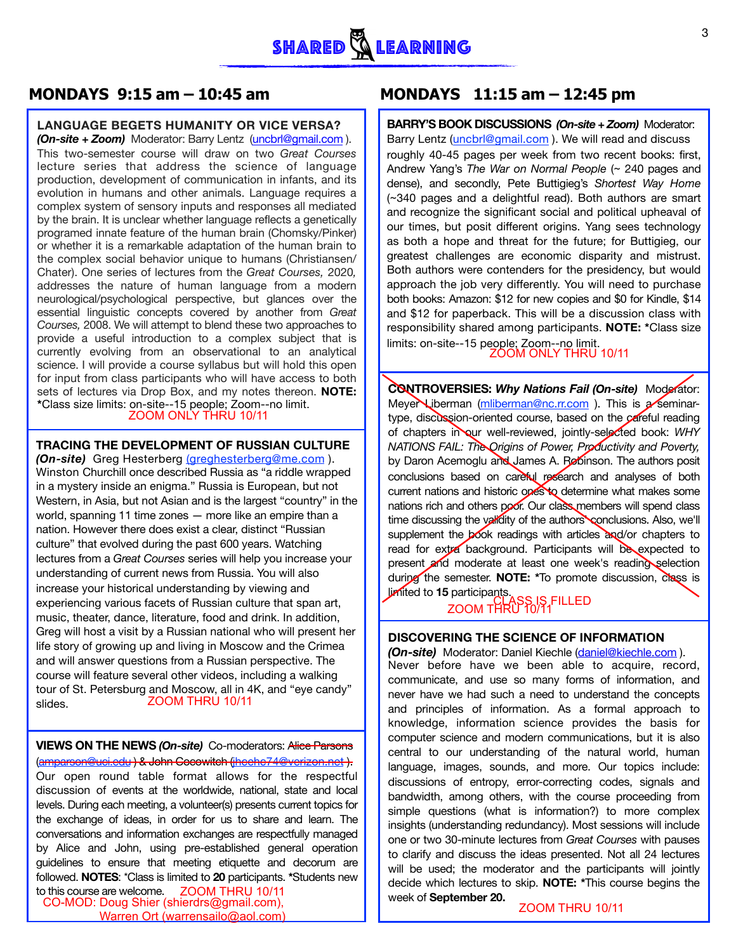### **LANGUAGE BEGETS HUMANITY OR VICE VERSA?**

*(On-site + Zoom)* Moderator: Barry Lentz [\(uncbrl@gmail.com](mailto:uncbrl@gmail.com) ). This two-semester course will draw on two *Great Courses* lecture series that address the science of language production, development of communication in infants, and its evolution in humans and other animals. Language requires a complex system of sensory inputs and responses all mediated by the brain. It is unclear whether language reflects a genetically programed innate feature of the human brain (Chomsky/Pinker) or whether it is a remarkable adaptation of the human brain to the complex social behavior unique to humans (Christiansen/ Chater). One series of lectures from the *Great Courses,* 2020*,*  addresses the nature of human language from a modern neurological/psychological perspective, but glances over the essential linguistic concepts covered by another from *Great Courses,* 2008. We will attempt to blend these two approaches to provide a useful introduction to a complex subject that is currently evolving from an observational to an analytical science. I will provide a course syllabus but will hold this open for input from class participants who will have access to both sets of lectures via Drop Box, and my notes thereon. **NOTE: \***Class size limits: on-site--15 people; Zoom--no limit.

#### **TRACING THE DEVELOPMENT OF RUSSIAN CULTURE**

*(On-site)* Greg Hesterberg [\(greghesterberg@me.com](mailto:greghesterberg@me.com) ). Winston Churchill once described Russia as "a riddle wrapped in a mystery inside an enigma." Russia is European, but not Western, in Asia, but not Asian and is the largest "country" in the world, spanning 11 time zones — more like an empire than a nation. However there does exist a clear, distinct "Russian culture" that evolved during the past 600 years. Watching lectures from a *Great Courses* series will help you increase your understanding of current news from Russia. You will also increase your historical understanding by viewing and experiencing various facets of Russian culture that span art, music, theater, dance, literature, food and drink. In addition, Greg will host a visit by a Russian national who will present her life story of growing up and living in Moscow and the Crimea and will answer questions from a Russian perspective. The course will feature several other videos, including a walking tour of St. Petersburg and Moscow, all in 4K, and "eye candy" slides. ZOOM THRU 10/11

## **VIEWS ON THE NEWS** *(On-site)* Co-moderators: Alice Parsons

[\(amparson@uci.edu](mailto:amparson@uci.edu) ) & John Cocowitch [\(jhcehc74@verizon.net](mailto:jhcehc74@verizon.net) ).

Our open round table format allows for the respectful discussion of events at the worldwide, national, state and local levels. During each meeting, a volunteer(s) presents current topics for the exchange of ideas, in order for us to share and learn. The conversations and information exchanges are respectfully managed by Alice and John, using pre-established general operation guidelines to ensure that meeting etiquette and decorum are followed. **NOTES**: \*Class is limited to **20** participants. **\***Students new

to this course are welcome. ZOOM THRU 10/11 CO-MOD: Doug Shier (shierdrs@gmail.com), Doug Shier (shierdis@gmail.com),<br>Warren Ort (warrensailo@aol.com) ZOOM THRU 10/11

## **MONDAYS** 9:15 am – 10:45 am MONDAYS 11:15 am – 12:45 pm

**BARRY'S BOOK DISCUSSIONS** *(On-site + Zoom)* Moderator: Barry Lentz ([uncbrl@gmail.com](mailto:uncbrl@gmail.com)). We will read and discuss roughly 40-45 pages per week from two recent books: first, Andrew Yang's *The War on Normal People* (~ 240 pages and dense), and secondly, Pete Buttigieg's *Shortest Way Home* (~340 pages and a delightful read). Both authors are smart and recognize the significant social and political upheaval of our times, but posit different origins. Yang sees technology as both a hope and threat for the future; for Buttigieg, our greatest challenges are economic disparity and mistrust. Both authors were contenders for the presidency, but would approach the job very differently. You will need to purchase both books: Amazon: \$12 for new copies and \$0 for Kindle, \$14 and \$12 for paperback. This will be a discussion class with responsibility shared among participants. **NOTE: \***Class size limits: on-site--15 people; Zoom--no limit.

**CONTROVERSIES:** *Why Nations Fail (On-site)* Moderator: Meyer Liberman ([mliberman@nc.rr.com](mailto:mliberman@nc.rr.com)). This is a seminartype, discussion-oriented course, based on the careful reading of chapters in our well-reviewed, jointly-selected book: *WHY NATIONS FAIL: The Origins of Power, Productivity and Poverty,* by Daron Acemoglu and James A. Robinson. The authors posit conclusions based on careful research and analyses of both current nations and historic ones to determine what makes some nations rich and others poor. Our class members will spend class time discussing the validity of the authors conclusions. Also, we'll supplement the book readings with articles and/or chapters to read for extra background. Participants will be expected to present and moderate at least one week's reading selection during the semester. **NOTE: \***To promote discussion, class is limited to **15** participants.<br>ZOOM THRU 10/11 The man observational to an analytical<br>
is participants who will have access to both<br>
a Drop Box, and my notes thereon. **NOTE:**<br>
CONTROVERSIES: Why Nations Fail (On-site<br>
CONTROVERSIES: Why Nations Fail (On-site<br>
ZOOM ONLY

## **DISCOVERING THE SCIENCE OF INFORMATION**

*(On-site)* Moderator: Daniel Kiechle ([daniel@kiechle.com](mailto:daniel@kiechle.com) ). Never before have we been able to acquire, record, communicate, and use so many forms of information, and never have we had such a need to understand the concepts and principles of information. As a formal approach to knowledge, information science provides the basis for computer science and modern communications, but it is also central to our understanding of the natural world, human language, images, sounds, and more. Our topics include: discussions of entropy, error-correcting codes, signals and bandwidth, among others, with the course proceeding from simple questions (what is information?) to more complex insights (understanding redundancy). Most sessions will include one or two 30-minute lectures from *Great Courses* with pauses to clarify and discuss the ideas presented. Not all 24 lectures will be used; the moderator and the participants will jointly decide which lectures to skip. **NOTE: \***This course begins the week of **September 20.**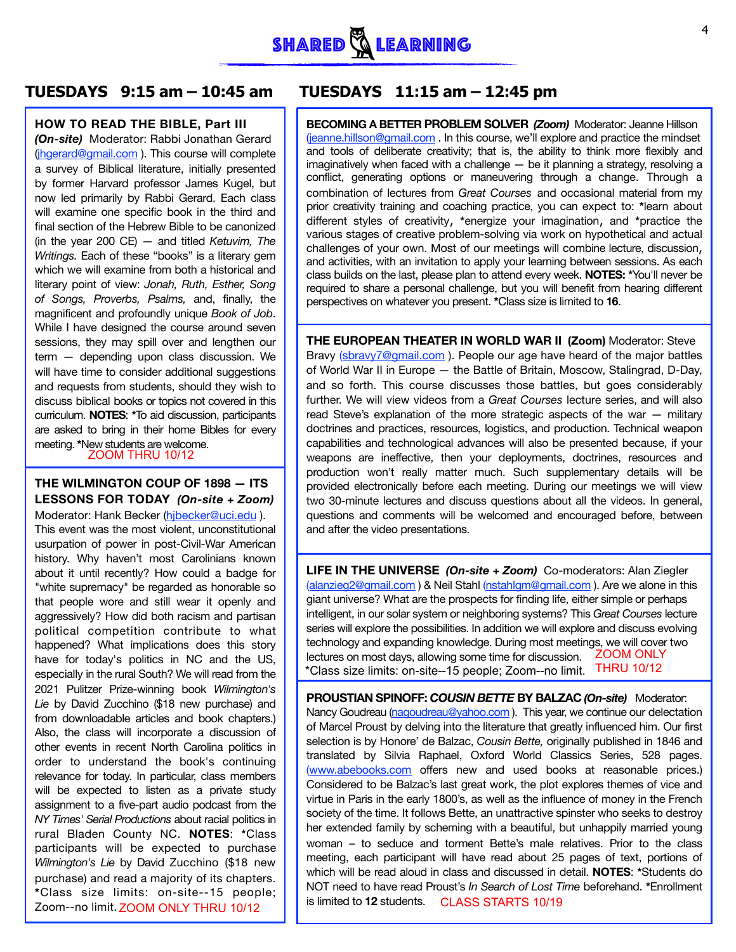

#### **HOW TO READ THE BIBLE, Part III**

*(On-site)* Moderator: Rabbi Jonathan Gerard [\(jhgerard@gmail.com](mailto:jhgerard@gmail.com) ). This course will complete a survey of Biblical literature, initially presented by former Harvard professor James Kugel, but now led primarily by Rabbi Gerard. Each class will examine one specific book in the third and final section of the Hebrew Bible to be canonized (in the year 200 CE) — and titled *Ketuvim, The Writings.* Each of these "books" is a literary gem which we will examine from both a historical and literary point of view: *Jonah, Ruth, Esther, Song of Songs, Proverbs, Psalms,* and, finally, the magnificent and profoundly unique *Book of Job*. While I have designed the course around seven sessions, they may spill over and lengthen our term — depending upon class discussion. We will have time to consider additional suggestions and requests from students, should they wish to discuss biblical books or topics not covered in this curriculum. **NOTES**: **\***To aid discussion, participants are asked to bring in their home Bibles for every meeting. **\***New students are welcome.

## **THE WILMINGTON COUP OF 1898 — ITS LESSONS FOR TODAY** *(On-site + Zoom)*

Allied to the contract of the limited to **12** students. CLASS STARTS 10/19 Moderator: Hank Becker (hjbecker@uci.edu). This event was the most violent, unconstitutional usurpation of power in post-Civil-War American history. Why haven't most Carolinians known about it until recently? How could a badge for "white supremacy" be regarded as honorable so that people wore and still wear it openly and aggressively? How did both racism and partisan political competition contribute to what happened? What implications does this story have for today's politics in NC and the US, especially in the rural South? We will read from the 2021 Pulitzer Prize-winning book *Wilmington's Lie* by David Zucchino (\$18 new purchase) and from downloadable articles and book chapters.) Also, the class will incorporate a discussion of other events in recent North Carolina politics in order to understand the book's continuing relevance for today. In particular, class members will be expected to listen as a private study assignment to a five-part audio podcast from the *NY Times' Serial Productions* about racial politics in rural Bladen County NC. **NOTES**: **\***Class participants will be expected to purchase *Wilmington's Lie* by David Zucchino (\$18 new purchase) and read a majority of its chapters. **\***Class size limits: on-site--15 people; Zoom--no limit. ZOOM ONLY THRU 10/12

# **TUESDAYS 9:15 am – 10:45 am TUESDAYS 11:15 am – 12:45 pm**

**BECOMING A BETTER PROBLEM SOLVER** *(Zoom)* Moderator: Jeanne Hillson ([jeanne.hillson@gmail.com](mailto:jeanne.hillson@gmail.com) . In this course, we'll explore and practice the mindset and tools of deliberate creativity; that is, the ability to think more flexibly and imaginatively when faced with a challenge — be it planning a strategy, resolving a conflict, generating options or maneuvering through a change. Through a combination of lectures from *Great Courses* and occasional material from my prior creativity training and coaching practice, you can expect to: **\***learn about different styles of creativity, **\***energize your imagination, and **\***practice the various stages of creative problem-solving via work on hypothetical and actual challenges of your own. Most of our meetings will combine lecture, discussion, and activities, with an invitation to apply your learning between sessions. As each class builds on the last, please plan to attend every week. **NOTES: \***You'll never be required to share a personal challenge, but you will benefit from hearing different perspectives on whatever you present. **\***Class size is limited to **16**.

**THE EUROPEAN THEATER IN WORLD WAR II (Zoom)** Moderator: Steve Bravy ([sbravy7@gmail.com](mailto:sbravy7@gmail.com)). People our age have heard of the major battles of World War II in Europe — the Battle of Britain, Moscow, Stalingrad, D-Day, and so forth. This course discusses those battles, but goes considerably further. We will view videos from a *Great Courses* lecture series, and will also read Steve's explanation of the more strategic aspects of the war — military doctrines and practices, resources, logistics, and production. Technical weapon capabilities and technological advances will also be presented because, if your weapons are ineffective, then your deployments, doctrines, resources and production won't really matter much. Such supplementary details will be provided electronically before each meeting. During our meetings we will view two 30-minute lectures and discuss questions about all the videos. In general, questions and comments will be welcomed and encouraged before, between and after the video presentations.

**LIFE IN THE UNIVERSE** *(On-site + Zoom)* Co-moderators: Alan Ziegler ([alanzieg2@gmail.com](mailto:alanzieg2@gmail.com) ) & Neil Stahl ([nstahlgm@gmail.com](mailto:nstahlgm@gmail.com) ). Are we alone in this giant universe? What are the prospects for finding life, either simple or perhaps intelligent, in our solar system or neighboring systems? This *Great Courses* lecture series will explore the possibilities. In addition we will explore and discuss evolving technology and expanding knowledge. During most meetings, we will cover two lectures on most days, allowing some time for discussion. ZOOM ONLY **EXECUTE IN THRU 10/12**<br> **EXECUTE ON THRU 10/12**<br> **EXECUTE ON TODAY (On-site + Zoom)**<br>
THE S FOR TODAY (On-site + Zoom)<br>
The provided electronically before each meeting. During our all<br>
thank Becker (hibecker@uci.edu).<br>
w \*Class size limits: on-site--15 people; Zoom--no limit. THRU 10/12

> **PROUSTIAN SPINOFF:** *COUSIN BETTE* **BY BALZAC** *(On-site)* Moderator: Nancy Goudreau [\(nagoudreau@yahoo.com](mailto:nagoudreau@yahoo.com)). This year, we continue our delectation of Marcel Proust by delving into the literature that greatly influenced him. Our first selection is by Honore' de Balzac, *Cousin Bette,* originally published in 1846 and translated by Silvia Raphael, Oxford World Classics Series, 528 pages. ([www.abebooks.com](http://www.abebooks.com) offers new and used books at reasonable prices.) Considered to be Balzac's last great work, the plot explores themes of vice and virtue in Paris in the early 1800's, as well as the influence of money in the French society of the time. It follows Bette, an unattractive spinster who seeks to destroy her extended family by scheming with a beautiful, but unhappily married young woman – to seduce and torment Bette's male relatives. Prior to the class meeting, each participant will have read about 25 pages of text, portions of which will be read aloud in class and discussed in detail. **NOTES**: **\***Students do NOT need to have read Proust's *In Search of Lost Time* beforehand. **\***Enrollment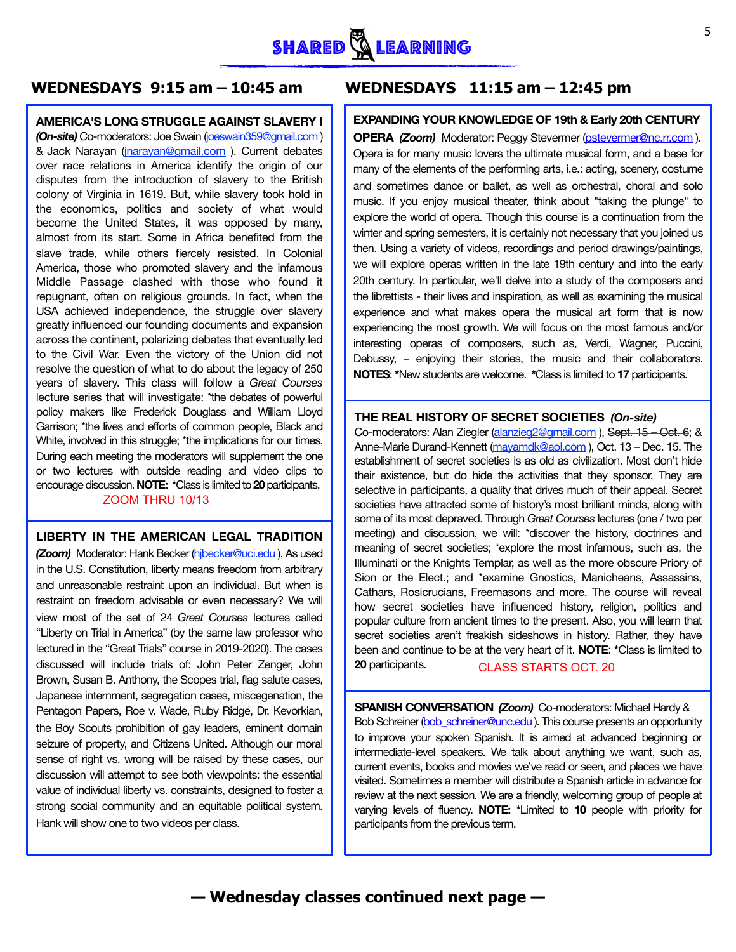# **WEDNESDAYS 9:15 am – 10:45 am WEDNESDAYS 11:15 am – 12:45 pm**

#### **AMERICA'S LONG STRUGGLE AGAINST SLAVERY I**

*(On-site)* Co-moderators: Joe Swain [\(joeswain359@gmail.com](mailto:joeswain359@gmail.com) ) & Jack Narayan ([jnarayan@gmail.com](mailto:jnarayan@gmail.com) ). Current debates over race relations in America identify the origin of our disputes from the introduction of slavery to the British colony of Virginia in 1619. But, while slavery took hold in the economics, politics and society of what would become the United States, it was opposed by many, almost from its start. Some in Africa benefited from the slave trade, while others fiercely resisted. In Colonial America, those who promoted slavery and the infamous Middle Passage clashed with those who found it repugnant, often on religious grounds. In fact, when the USA achieved independence, the struggle over slavery greatly influenced our founding documents and expansion across the continent, polarizing debates that eventually led to the Civil War. Even the victory of the Union did not resolve the question of what to do about the legacy of 250 years of slavery. This class will follow a *Great Courses* lecture series that will investigate: \*the debates of powerful policy makers like Frederick Douglass and William Lloyd Garrison; \*the lives and efforts of common people, Black and White, involved in this struggle; \*the implications for our times. During each meeting the moderators will supplement the one or two lectures with outside reading and video clips to encourage discussion. **NOTE: \***Class is limited to **20** participants. ZOOM THRU 10/13

### **LIBERTY IN THE AMERICAN LEGAL TRADITION**

*(Zoom)* Moderator: Hank Becker ([hjbecker@uci.edu](mailto:hjbecker@uci.edu) ). As used in the U.S. Constitution, liberty means freedom from arbitrary and unreasonable restraint upon an individual. But when is restraint on freedom advisable or even necessary? We will view most of the set of 24 *Great Courses* lectures called "Liberty on Trial in America" (by the same law professor who lectured in the "Great Trials" course in 2019-2020). The cases discussed will include trials of: John Peter Zenger, John Brown, Susan B. Anthony, the Scopes trial, flag salute cases, Japanese internment, segregation cases, miscegenation, the Pentagon Papers, Roe v. Wade, Ruby Ridge, Dr. Kevorkian, the Boy Scouts prohibition of gay leaders, eminent domain seizure of property, and Citizens United. Although our moral sense of right vs. wrong will be raised by these cases, our discussion will attempt to see both viewpoints: the essential value of individual liberty vs. constraints, designed to foster a strong social community and an equitable political system. Hank will show one to two videos per class.

## **EXPANDING YOUR KNOWLEDGE OF 19th & Early 20th CENTURY**

**OPERA** *(Zoom)* Moderator: Peggy Stevermer [\(pstevermer@nc.rr.com](mailto:pstevermer@nc.rr.com) ). Opera is for many music lovers the ultimate musical form, and a base for many of the elements of the performing arts, i.e.: acting, scenery, costume and sometimes dance or ballet, as well as orchestral, choral and solo music. If you enjoy musical theater, think about "taking the plunge" to explore the world of opera. Though this course is a continuation from the winter and spring semesters, it is certainly not necessary that you joined us then. Using a variety of videos, recordings and period drawings/paintings, we will explore operas written in the late 19th century and into the early 20th century. In particular, we'll delve into a study of the composers and the librettists - their lives and inspiration, as well as examining the musical experience and what makes opera the musical art form that is now experiencing the most growth. We will focus on the most famous and/or interesting operas of composers, such as, Verdi, Wagner, Puccini, Debussy, – enjoying their stories, the music and their collaborators. **NOTES**: **\***New students are welcome. **\***Class is limited to **17** participants.

### **THE REAL HISTORY OF SECRET SOCIETIES** *(On-site)*

Co-moderators: Alan Ziegler (alanzieg2@gmail.com), Sept. 15 - Oct. 6; & Anne-Marie Durand-Kennett (mayamdk@aol.com), Oct. 13 – Dec. 15. The establishment of secret societies is as old as civilization. Most don't hide their existence, but do hide the activities that they sponsor. They are selective in participants, a quality that drives much of their appeal. Secret societies have attracted some of history's most brilliant minds, along with some of its most depraved. Through *Great Courses* lectures (one / two per meeting) and discussion, we will: \*discover the history, doctrines and meaning of secret societies; \*explore the most infamous, such as, the Illuminati or the Knights Templar, as well as the more obscure Priory of Sion or the Elect.; and \*examine Gnostics, Manicheans, Assassins, Cathars, Rosicrucians, Freemasons and more. The course will reveal how secret societies have influenced history, religion, politics and popular culture from ancient times to the present. Also, you will learn that secret societies aren't freakish sideshows in history. Rather, they have been and continue to be at the very heart of it. **NOTE**: **\***Class is limited to **20** participants. CLASS STARTS OCT. 20

**SPANISH CONVERSATION** *(Zoom)* Co-moderators: Michael Hardy & Bob Schreiner [\(bob\\_schreiner@unc.edu](mailto:bob_schreiner@unc.edu) ). This course presents an opportunity to improve your spoken Spanish. It is aimed at advanced beginning or intermediate-level speakers. We talk about anything we want, such as, current events, books and movies we've read or seen, and places we have visited. Sometimes a member will distribute a Spanish article in advance for review at the next session. We are a friendly, welcoming group of people at varying levels of fluency. **NOTE: \***Limited to **10** people with priority for participants from the previous term.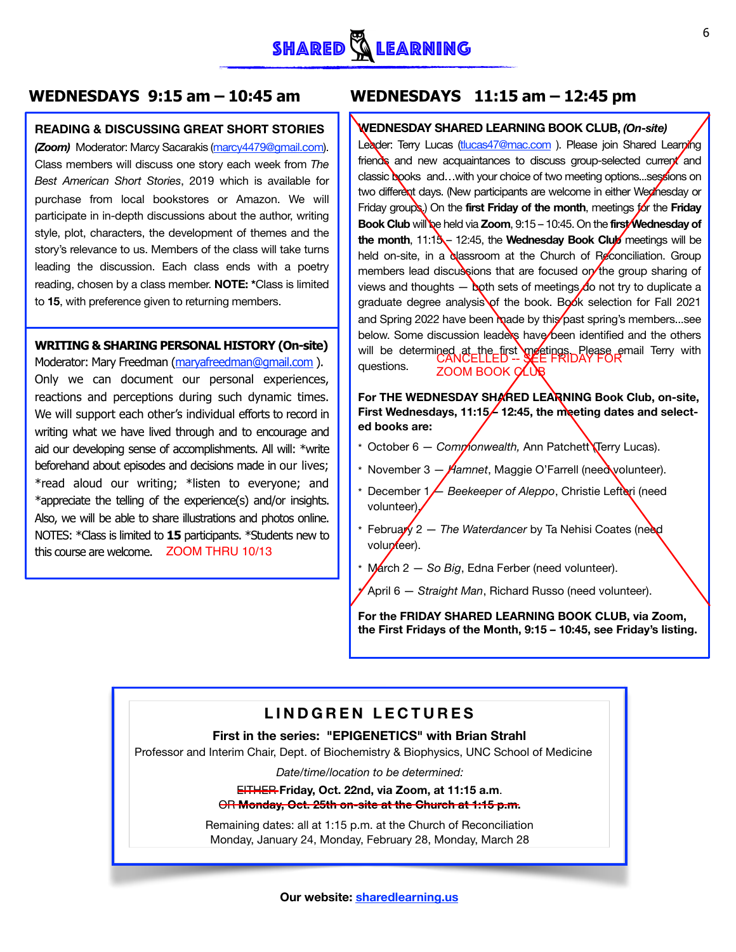# **WEDNESDAYS 9:15 am – 10:45 am WEDNESDAYS 11:15 am – 12:45 pm**

#### **READING & DISCUSSING GREAT SHORT STORIES**

*(Zoom)* Moderator: Marcy Sacarakis ([marcy4479@gmail.com\)](mailto:marcy4479@gmail.com). Class members will discuss one story each week from *The Best American Short Stories*, 2019 which is available for purchase from local bookstores or Amazon. We will participate in in-depth discussions about the author, writing style, plot, characters, the development of themes and the story's relevance to us. Members of the class will take turns leading the discussion. Each class ends with a poetry reading, chosen by a class member. **NOTE: \***Class is limited to **15**, with preference given to returning members.

#### **WRITING & SHARING PERSONAL HISTORY (On-site)**

Moderator: Mary Freedman (maryafreedman@gmail.com). Only we can document our personal experiences, reactions and perceptions during such dynamic times. We will support each other's individual efforts to record in writing what we have lived through and to encourage and aid our developing sense of accomplishments. All will: \*write beforehand about episodes and decisions made in our lives; \*read aloud our writing; \*listen to everyone; and \*appreciate the telling of the experience(s) and/or insights. Also, we will be able to share illustrations and photos online. NOTES: \*Class is limited to **15** participants. \*Students new to this course are welcome. ZOOM THRU 10/13

### **WEDNESDAY SHARED LEARNING BOOK CLUB,** *(On-site)*

Leader: Terry Lucas (tlucas47@mac.com). Please join Shared Learning friends and new acquaintances to discuss group-selected current and classic books and...with your choice of two meeting options...sessions on two different days. (New participants are welcome in either Wednesday or Friday groups.) On the **first Friday of the month**, meetings for the **Friday Book Club** will be held via **Zoom**, 9:15 – 10:45. On the **first Wednesday of the month, 11:13** – 12:45, the **Wednesday Book Club** meetings will be held on-site, in a classroom at the Church of Reconciliation. Group members lead discussions that are focused on the group sharing of views and thoughts  $-$  both sets of meetings do not try to duplicate a graduate degree analysis of the book. Book selection for Fall 2021 and Spring 2022 have been made by this past spring's members...see below. Some discussion leaders have been identified and the others will be determined at the first meetings Please email Terry with questions. ZOOM BOOK OLUB

### For THE WEDNESDAY SHARED LEARNING Book Club, on-site, First Wednesdays, 11:15<sup>/</sup> 12:45, the meeting dates and select**ed books are:**

- \* October 6 *Commonwealth,* Ann Patchett (Terry Lucas).
- \* November 3 *Hamnet*, Maggie O'Farrell (need volunteer).
- \* December 1  $\angle$  *Beekeeper of Aleppo*, Christie Lefteri (need volunteer).
- \* February 2 *The Waterdancer* by Ta Nehisi Coates (need volunteer).
- March 2 So Big, Edna Ferber (need volunteer).
- \* April 6 *Straight Man*, Richard Russo (need volunteer).

 **For the FRIDAY SHARED LEARNING BOOK CLUB, via Zoom, the First Fridays of the Month, 9:15 – 10:45, see Friday's listing.**

# **LINDGREN LECTURES**

### **First in the series: "EPIGENETICS" with Brian Strahl**

Professor and Interim Chair, Dept. of Biochemistry & Biophysics, UNC School of Medicine

*Date/time/location to be determined:* 

EITHER **Friday, Oct. 22nd, via Zoom, at 11:15 a.m**. OR **Monday, Oct. 25th on-site at the Church at 1:15 p.m.** 

Remaining dates: all at 1:15 p.m. at the Church of Reconciliation Monday, January 24, Monday, February 28, Monday, March 28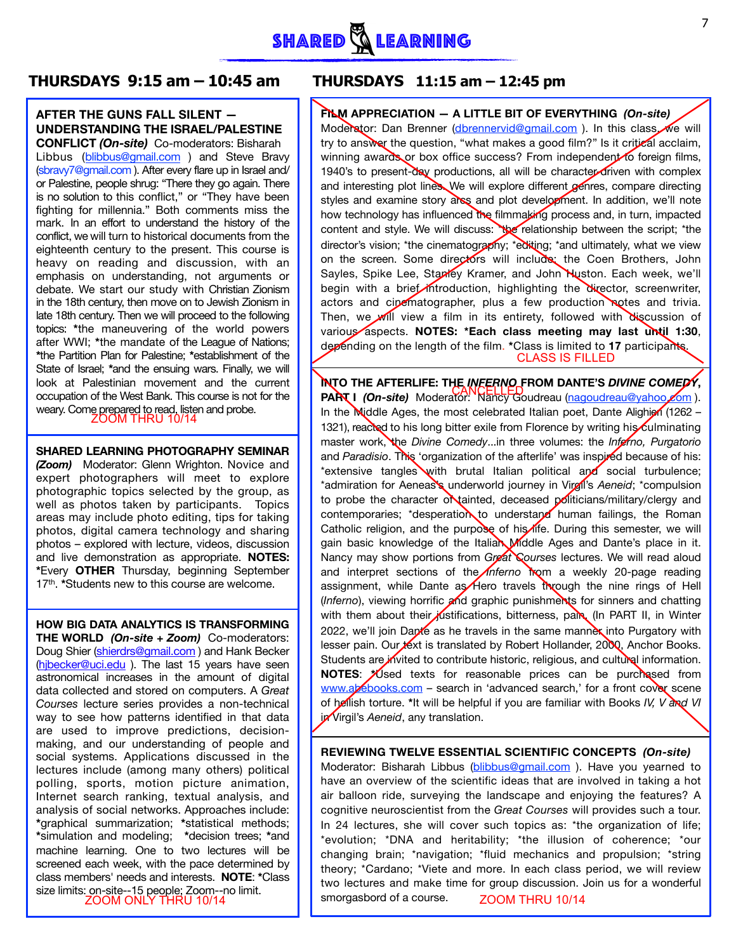# **THURSDAYS 9:15 am – 10:45 am THURSDAYS 11:15 am – 12:45 pm**

# **AFTER THE GUNS FALL SILENT — UNDERSTANDING THE ISRAEL/PALESTINE**

**CONFLICT** *(On-site)* Co-moderators: Bisharah Libbus ([blibbus@gmail.com](mailto:blibbus@gmail.com) ) and Steve Bravy [\(sbravy7@gmail.com](mailto:sbravy7@gmail.com) ). After every flare up in Israel and/ or Palestine, people shrug: "There they go again. There is no solution to this conflict," or "They have been fighting for millennia." Both comments miss the mark. In an effort to understand the history of the conflict, we will turn to historical documents from the eighteenth century to the present. This course is heavy on reading and discussion, with an emphasis on understanding, not arguments or debate. We start our study with Christian Zionism in the 18th century, then move on to Jewish Zionism in late 18th century. Then we will proceed to the following topics: **\***the maneuvering of the world powers after WWI; **\***the mandate of the League of Nations; **\***the Partition Plan for Palestine; **\***establishment of the State of Israel; **\***and the ensuing wars. Finally, we will look at Palestinian movement and the current occupation of the West Bank. This course is not for the weary. Come prepared to read, listen and probe.<br>ZOOM THRU 10/14

#### **SHARED LEARNING PHOTOGRAPHY SEMINAR**

*(Zoom)* Moderator: Glenn Wrighton. Novice and expert photographers will meet to explore photographic topics selected by the group, as well as photos taken by participants. Topics areas may include photo editing, tips for taking photos, digital camera technology and sharing photos – explored with lecture, videos, discussion and live demonstration as appropriate. **NOTES: \***Every **OTHER** Thursday, beginning September 17th. **\***Students new to this course are welcome.

**HOW BIG DATA ANALYTICS IS TRANSFORMING THE WORLD** *(On-site + Zoom)* Co-moderators: Doug Shier ([shierdrs@gmail.com](mailto:shierdrs@gmail.com) ) and Hank Becker [\(hjbecker@uci.edu](mailto:hjbecker@uci.edu) ). The last 15 years have seen astronomical increases in the amount of digital data collected and stored on computers. A *Great Courses* lecture series provides a non-technical way to see how patterns identified in that data are used to improve predictions, decisionmaking, and our understanding of people and social systems. Applications discussed in the lectures include (among many others) political polling, sports, motion picture animation, Internet search ranking, textual analysis, and analysis of social networks. Approaches include: **\***graphical summarization; **\***statistical methods; **\***simulation and modeling; **\***decision trees; **\***and machine learning. One to two lectures will be screened each week, with the pace determined by class members' needs and interests. **NOTE**: **\***Class size limits: on-site--15 people; Zoom--no limit.<br>700M ONLY THRU 10/14

**FILM APPRECIATION — A LITTLE BIT OF EVERYTHING** *(On-site)*  Moderator: Dan Brenner ([dbrennervid@gmail.com](mailto:dbrennervid@gmail.com) ). In this class, we will try to answer the question, "what makes a good film?" Is it critical acclaim, winning awards or box office success? From independent to foreign films, 1940's to present-day productions, all will be character-driven with complex and interesting plot lines. We will explore different genres, compare directing styles and examine story arcs and plot development. In addition, we'll note how technology has influenced the filmmaking process and, in turn, impacted content and style. We will discuss: \*\*\* relationship between the script; \*the director's vision; \*the cinematography; \*editing; \*and ultimately, what we view on the screen. Some directors will include: the Coen Brothers, John Sayles, Spike Lee, Stanley Kramer, and John Huston. Each week, we'll begin with a brief introduction, highlighting the director, screenwriter, actors and cipematographer, plus a few production notes and trivia. Then, we will view a film in its entirety, followed with discussion of various aspects. **NOTES: \*Each class meeting may last until 1:30**, depending on the length of the film. **\***Class is limited to **17** participants.

**INTO THE AFTERLIFE: THE** *INFERNO* FROM DANTE'S *DIVINE COMEDY*, **PART I** *(On-site)* Moderator: Nancy Goudreau ([nagoudreau@yahoo.com](mailto:nagoudreau@yahoo.com)). In the Middle Ages, the most celebrated Italian poet, Dante Alighieri (1262 – 1321), reacted to his long bitter exile from Florence by writing his culminating master work, the *Divine Comedy*...in three volumes: the *Inferno, Purgatorio* and *Paradisio*. This 'organization of the afterlife' was inspired because of his: \*extensive tangles with brutal Italian political and social turbulence; \*admiration for Aeneas's underworld journey in Virgil's *Aeneid*; \*compulsion to probe the character or tainted, deceased politicians/military/clergy and contemporaries; \*desperation to understand human failings, the Roman Catholic religion, and the purpose of his life. During this semester, we will gain basic knowledge of the Italian Middle Ages and Dante's place in it. Nancy may show portions from *Great Courses* lectures. We will read aloud and interpret sections of the *Inferno* from a weekly 20-page reading assignment, while Dante as Hero travels through the nine rings of Hell (*Inferno*), viewing horrific and graphic punishments for sinners and chatting with them about their justifications, bitterness, pain. (In PART II, in Winter 2022, we'll join Dapte as he travels in the same manner into Purgatory with lesser pain. Our text is translated by Robert Hollander, 2000, Anchor Books. Students are invited to contribute historic, religious, and cultural information. **NOTES**: **\***Used texts for reasonable prices can be purchased from [www.abebooks.com](http://www.abebooks.com) - search in 'advanced search,' for a front cover scene of hellish torture. **\***It will be helpful if you are familiar with Books *IV, V and VI* in Virgil's *Aeneid*, any translation. **EXARMING PHOTOGRAPHY SEMIMARE**<br>
THE IN the collisting Distribution (Solvie and Marginson Collisting Distribution (Solvie and more of the solution of the solution of the solution of the solution of the solution of the sol

# **REVIEWING TWELVE ESSENTIAL SCIENTIFIC CONCEPTS** *(On-site)*

Moderator: Bisharah Libbus ([blibbus@gmail.com](mailto:blibbus@gmail.com) ). Have you yearned to have an overview of the scientific ideas that are involved in taking a hot air balloon ride, surveying the landscape and enjoying the features? A cognitive neuroscientist from the *Great Courses* will provides such a tour. In 24 lectures, she will cover such topics as: \*the organization of life; \*evolution; \*DNA and heritability; \*the illusion of coherence; \*our changing brain; \*navigation; \*fluid mechanics and propulsion; \*string theory; \*Cardano; \*Viete and more. In each class period, we will review two lectures and make time for group discussion. Join us for a wonderful smorgasbord of a course.